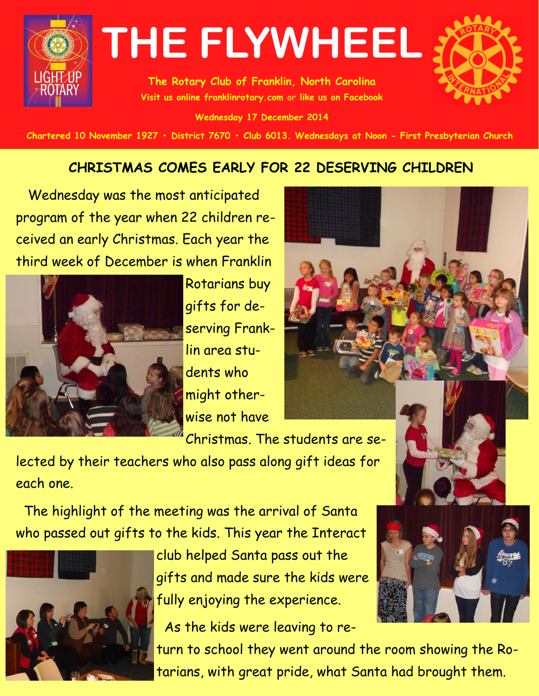

**The Rotary Club of Franklin, North Carolina Visit us online franklinrotary.com or like us on Facebook** 

**Wednesday 17 December 2014**

Chartered 10 November 1927 • District 7670 • Club 6013. Wednesdays at Noon - First Presbyterian Church

### **CHRISTMAS COMES EARLY FOR 22 DESERVING CHILDREN**

 Wednesday was the most anticipated program of the year when 22 children received an early Christmas. Each year the third week of December is when Franklin



Rotarians buy gifts for deserving Franklin area students who might otherwise not have



Christmas. The students are se-

lected by their teachers who also pass along gift ideas for each one.

 The highlight of the meeting was the arrival of Santa who passed out gifts to the kids. This year the Interact



club helped Santa pass out the gifts and made sure the kids were fully enjoying the experience.

As the kids were leaving to re-



turn to school they went around the room showing the Rotarians, with great pride, what Santa had brought them.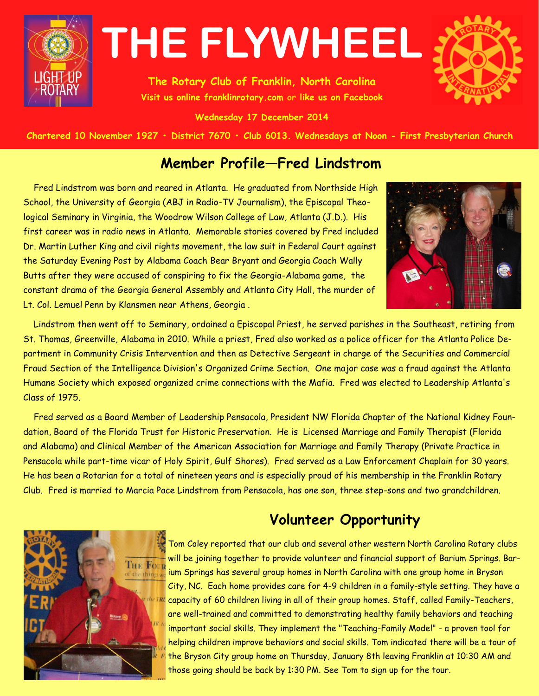

**The Rotary Club of Franklin, North Carolina Visit us online franklinrotary.com or like us on Facebook** 

**Wednesday 17 December 2014**



Chartered 10 November 1927 • District 7670 • Club 6013. Wednesdays at Noon - First Presbyterian Church

### **Member Profile—Fred Lindstrom**

 Fred Lindstrom was born and reared in Atlanta. He graduated from Northside High School, the University of Georgia (ABJ in Radio-TV Journalism), the Episcopal Theological Seminary in Virginia, the Woodrow Wilson College of Law, Atlanta (J.D.). His first career was in radio news in Atlanta. Memorable stories covered by Fred included Dr. Martin Luther King and civil rights movement, the law suit in Federal Court against the Saturday Evening Post by Alabama Coach Bear Bryant and Georgia Coach Wally Butts after they were accused of conspiring to fix the Georgia-Alabama game, the constant drama of the Georgia General Assembly and Atlanta City Hall, the murder of Lt. Col. Lemuel Penn by Klansmen near Athens, Georgia .



 Lindstrom then went off to Seminary, ordained a Episcopal Priest, he served parishes in the Southeast, retiring from St. Thomas, Greenville, Alabama in 2010. While a priest, Fred also worked as a police officer for the Atlanta Police Department in Community Crisis Intervention and then as Detective Sergeant in charge of the Securities and Commercial Fraud Section of the Intelligence Division's Organized Crime Section. One major case was a fraud against the Atlanta Humane Society which exposed organized crime connections with the Mafia. Fred was elected to Leadership Atlanta's Class of 1975.

 Fred served as a Board Member of Leadership Pensacola, President NW Florida Chapter of the National Kidney Foundation, Board of the Florida Trust for Historic Preservation. He is Licensed Marriage and Family Therapist (Florida and Alabama) and Clinical Member of the American Association for Marriage and Family Therapy (Private Practice in Pensacola while part-time vicar of Holy Spirit, Gulf Shores). Fred served as a Law Enforcement Chaplain for 30 years. He has been a Rotarian for a total of nineteen years and is especially proud of his membership in the Franklin Rotary Club. Fred is married to Marcia Pace Lindstrom from Pensacola, has one son, three step-sons and two grandchildren.

# **Volunteer Opportunity**



Tom Coley reported that our club and several other western North Carolina Rotary clubs will be joining together to provide volunteer and financial support of Barium Springs. Barium Springs has several group homes in North Carolina with one group home in Bryson City, NC. Each home provides care for 4-9 children in a family-style setting. They have a  $k$  capacity of 60 children living in all of their group homes. Staff, called Family-Teachers, are well-trained and committed to demonstrating healthy family behaviors and teaching important social skills. They implement the "Teaching-Family Model" - a proven tool for helping children improve behaviors and social skills. Tom indicated there will be a tour of the Bryson City group home on Thursday, January 8th leaving Franklin at 10:30 AM and those going should be back by 1:30 PM. See Tom to sign up for the tour.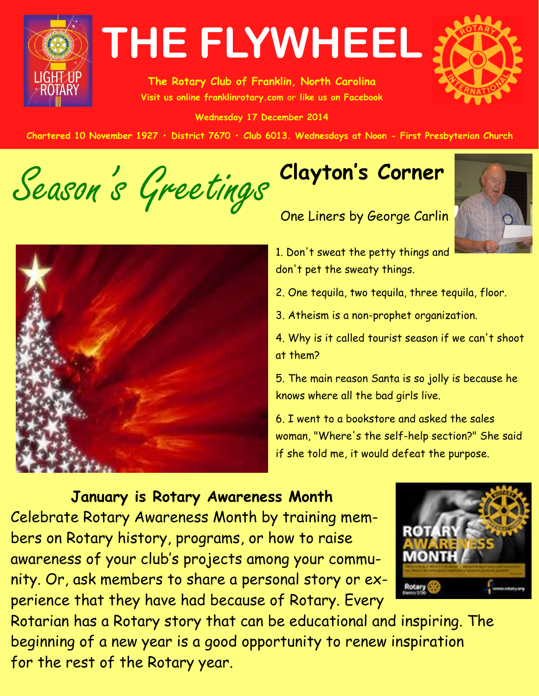

**The Rotary Club of Franklin, North Carolina Visit us online franklinrotary.com or like us on Facebook** 

**Wednesday 17 December 2014**



Chartered 10 November 1927 • District 7670 • Club 6013. Wednesdays at Noon - First Presbyterian Church

Season's Greetings



# **Clayton's Corner**

One Liners by George Carlin



1. Don't sweat the petty things and don't pet the sweaty things.

2. One tequila, two tequila, three tequila, floor.

3. Atheism is a non-prophet organization.

4. Why is it called tourist season if we can't shoot at them?

5. The main reason Santa is so jolly is because he knows where all the bad girls live.

6. I went to a bookstore and asked the sales woman, "Where's the self-help section?" She said if she told me, it would defeat the purpose.

## **January is Rotary Awareness Month**

Celebrate Rotary Awareness Month by training members on Rotary history, programs, or how to raise awareness of your club's projects among your community. Or, ask members to share a personal story or experience that they have had because of Rotary. Every



Rotarian has a Rotary story that can be educational and inspiring. The beginning of a new year is a good opportunity to renew inspiration for the rest of the Rotary year.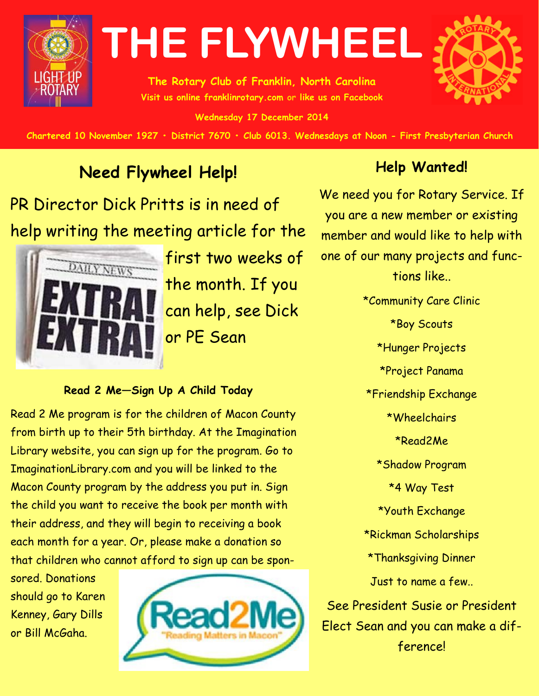

**The Rotary Club of Franklin, North Carolina Visit us online franklinrotary.com or like us on Facebook** 

**Wednesday 17 December 2014**



Chartered 10 November 1927 • District 7670 • Club 6013. Wednesdays at Noon - First Presbyterian Church

# **Need Flywheel Help!**

PR Director Dick Pritts is in need of help writing the meeting article for the



first two weeks of the month. If you can help, see Dick or PE Sean

#### **Read 2 Me—Sign Up A Child Today**

Read 2 Me program is for the children of Macon County from birth up to their 5th birthday. At the Imagination Library website, you can sign up for the program. Go to ImaginationLibrary.com and you will be linked to the Macon County program by the address you put in. Sign the child you want to receive the book per month with their address, and they will begin to receiving a book each month for a year. Or, please make a donation so that children who cannot afford to sign up can be spon-

sored. Donations should go to Karen Kenney, Gary Dills or Bill McGaha.



## **Help Wanted!**

We need you for Rotary Service. If you are a new member or existing member and would like to help with one of our many projects and functions like..

\*Community Care Clinic \*Boy Scouts \*Hunger Projects \*Project Panama \*Friendship Exchange \*Wheelchairs \*Read2Me \*Shadow Program \*4 Way Test \*Youth Exchange \*Rickman Scholarships \*Thanksgiving Dinner Just to name a few.. See President Susie or President Elect Sean and you can make a difference!